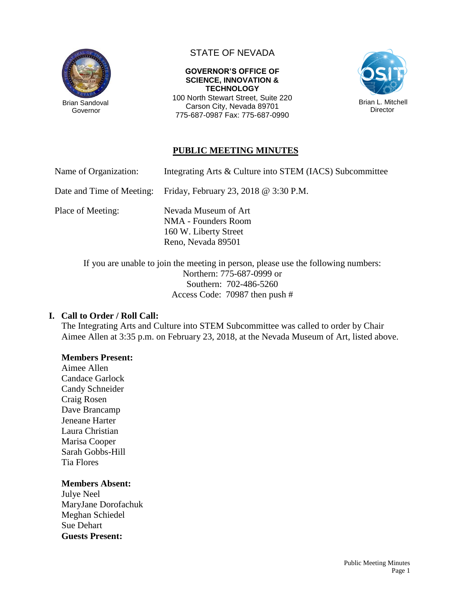

Governor

# STATE OF NEVADA

**GOVERNOR'S OFFICE OF SCIENCE, INNOVATION & TECHNOLOGY** 100 North Stewart Street, Suite 220

Carson City, Nevada 89701 775-687-0987 Fax: 775-687-0990



## **PUBLIC MEETING MINUTES**

Name of Organization: Integrating Arts & Culture into STEM (IACS) Subcommittee

Date and Time of Meeting: Friday, February 23, 2018 @ 3:30 P.M.

Place of Meeting: Nevada Museum of Art

NMA - Founders Room 160 W. Liberty Street Reno, Nevada 89501

If you are unable to join the meeting in person, please use the following numbers: Northern: 775-687-0999 or Southern: 702-486-5260 Access Code: 70987 then push #

#### **I. Call to Order / Roll Call:**

The Integrating Arts and Culture into STEM Subcommittee was called to order by Chair Aimee Allen at 3:35 p.m. on February 23, 2018, at the Nevada Museum of Art, listed above.

#### **Members Present:**

Aimee Allen Candace Garlock Candy Schneider Craig Rosen Dave Brancamp Jeneane Harter Laura Christian Marisa Cooper Sarah Gobbs-Hill Tia Flores

#### **Members Absent:**

Julye Neel MaryJane Dorofachuk Meghan Schiedel Sue Dehart **Guests Present:**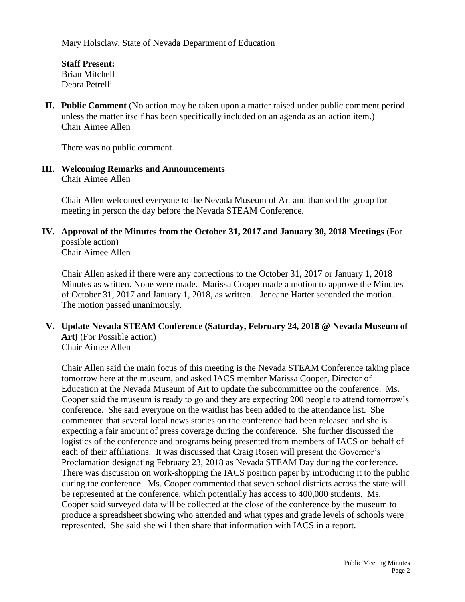Mary Holsclaw, State of Nevada Department of Education

**Staff Present:** Brian Mitchell Debra Petrelli

**II. Public Comment** (No action may be taken upon a matter raised under public comment period unless the matter itself has been specifically included on an agenda as an action item.) Chair Aimee Allen

There was no public comment.

#### **III. Welcoming Remarks and Announcements** Chair Aimee Allen

Chair Allen welcomed everyone to the Nevada Museum of Art and thanked the group for meeting in person the day before the Nevada STEAM Conference.

**IV. Approval of the Minutes from the October 31, 2017 and January 30, 2018 Meetings** (For possible action)

Chair Aimee Allen

Chair Allen asked if there were any corrections to the October 31, 2017 or January 1, 2018 Minutes as written. None were made. Marissa Cooper made a motion to approve the Minutes of October 31, 2017 and January 1, 2018, as written. Jeneane Harter seconded the motion. The motion passed unanimously.

**V. Update Nevada STEAM Conference (Saturday, February 24, 2018 @ Nevada Museum of Art)** (For Possible action) Chair Aimee Allen

Chair Allen said the main focus of this meeting is the Nevada STEAM Conference taking place tomorrow here at the museum, and asked IACS member Marissa Cooper, Director of Education at the Nevada Museum of Art to update the subcommittee on the conference. Ms. Cooper said the museum is ready to go and they are expecting 200 people to attend tomorrow's conference. She said everyone on the waitlist has been added to the attendance list. She commented that several local news stories on the conference had been released and she is expecting a fair amount of press coverage during the conference. She further discussed the logistics of the conference and programs being presented from members of IACS on behalf of each of their affiliations. It was discussed that Craig Rosen will present the Governor's Proclamation designating February 23, 2018 as Nevada STEAM Day during the conference. There was discussion on work-shopping the IACS position paper by introducing it to the public during the conference. Ms. Cooper commented that seven school districts across the state will be represented at the conference, which potentially has access to 400,000 students. Ms. Cooper said surveyed data will be collected at the close of the conference by the museum to produce a spreadsheet showing who attended and what types and grade levels of schools were represented. She said she will then share that information with IACS in a report.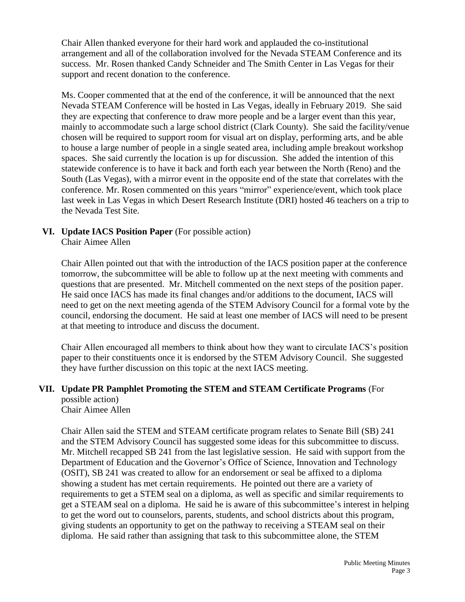Chair Allen thanked everyone for their hard work and applauded the co-institutional arrangement and all of the collaboration involved for the Nevada STEAM Conference and its success. Mr. Rosen thanked Candy Schneider and The Smith Center in Las Vegas for their support and recent donation to the conference.

Ms. Cooper commented that at the end of the conference, it will be announced that the next Nevada STEAM Conference will be hosted in Las Vegas, ideally in February 2019. She said they are expecting that conference to draw more people and be a larger event than this year, mainly to accommodate such a large school district (Clark County). She said the facility/venue chosen will be required to support room for visual art on display, performing arts, and be able to house a large number of people in a single seated area, including ample breakout workshop spaces. She said currently the location is up for discussion. She added the intention of this statewide conference is to have it back and forth each year between the North (Reno) and the South (Las Vegas), with a mirror event in the opposite end of the state that correlates with the conference. Mr. Rosen commented on this years "mirror" experience/event, which took place last week in Las Vegas in which Desert Research Institute (DRI) hosted 46 teachers on a trip to the Nevada Test Site.

# **VI. Update IACS Position Paper** (For possible action)

Chair Aimee Allen

Chair Allen pointed out that with the introduction of the IACS position paper at the conference tomorrow, the subcommittee will be able to follow up at the next meeting with comments and questions that are presented. Mr. Mitchell commented on the next steps of the position paper. He said once IACS has made its final changes and/or additions to the document, IACS will need to get on the next meeting agenda of the STEM Advisory Council for a formal vote by the council, endorsing the document. He said at least one member of IACS will need to be present at that meeting to introduce and discuss the document.

Chair Allen encouraged all members to think about how they want to circulate IACS's position paper to their constituents once it is endorsed by the STEM Advisory Council. She suggested they have further discussion on this topic at the next IACS meeting.

#### **VII. Update PR Pamphlet Promoting the STEM and STEAM Certificate Programs** (For possible action)

Chair Aimee Allen

Chair Allen said the STEM and STEAM certificate program relates to Senate Bill (SB) 241 and the STEM Advisory Council has suggested some ideas for this subcommittee to discuss. Mr. Mitchell recapped SB 241 from the last legislative session. He said with support from the Department of Education and the Governor's Office of Science, Innovation and Technology (OSIT), SB 241 was created to allow for an endorsement or seal be affixed to a diploma showing a student has met certain requirements. He pointed out there are a variety of requirements to get a STEM seal on a diploma, as well as specific and similar requirements to get a STEAM seal on a diploma. He said he is aware of this subcommittee's interest in helping to get the word out to counselors, parents, students, and school districts about this program, giving students an opportunity to get on the pathway to receiving a STEAM seal on their diploma. He said rather than assigning that task to this subcommittee alone, the STEM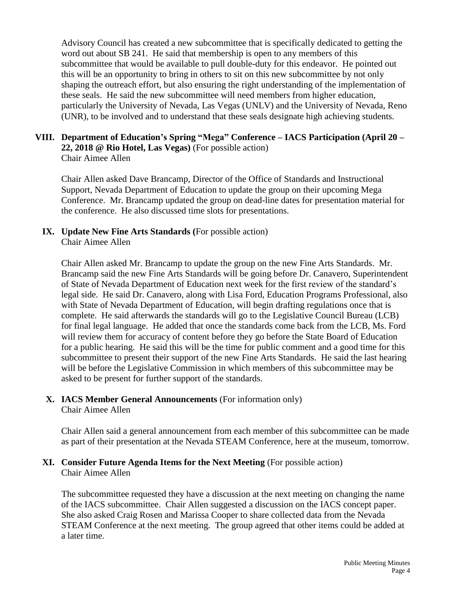Advisory Council has created a new subcommittee that is specifically dedicated to getting the word out about SB 241. He said that membership is open to any members of this subcommittee that would be available to pull double-duty for this endeavor. He pointed out this will be an opportunity to bring in others to sit on this new subcommittee by not only shaping the outreach effort, but also ensuring the right understanding of the implementation of these seals. He said the new subcommittee will need members from higher education, particularly the University of Nevada, Las Vegas (UNLV) and the University of Nevada, Reno (UNR), to be involved and to understand that these seals designate high achieving students.

# **VIII. Department of Education's Spring "Mega" Conference – IACS Participation (April 20 – 22, 2018 @ Rio Hotel, Las Vegas)** (For possible action)

Chair Aimee Allen

Chair Allen asked Dave Brancamp, Director of the Office of Standards and Instructional Support, Nevada Department of Education to update the group on their upcoming Mega Conference. Mr. Brancamp updated the group on dead-line dates for presentation material for the conference. He also discussed time slots for presentations.

#### **IX. Update New Fine Arts Standards (**For possible action) Chair Aimee Allen

Chair Allen asked Mr. Brancamp to update the group on the new Fine Arts Standards. Mr. Brancamp said the new Fine Arts Standards will be going before Dr. Canavero, Superintendent of State of Nevada Department of Education next week for the first review of the standard's legal side. He said Dr. Canavero, along with Lisa Ford, Education Programs Professional, also with State of Nevada Department of Education, will begin drafting regulations once that is complete. He said afterwards the standards will go to the Legislative Council Bureau (LCB) for final legal language. He added that once the standards come back from the LCB, Ms. Ford will review them for accuracy of content before they go before the State Board of Education for a public hearing. He said this will be the time for public comment and a good time for this subcommittee to present their support of the new Fine Arts Standards. He said the last hearing will be before the Legislative Commission in which members of this subcommittee may be asked to be present for further support of the standards.

#### **X. IACS Member General Announcements** (For information only) Chair Aimee Allen

Chair Allen said a general announcement from each member of this subcommittee can be made as part of their presentation at the Nevada STEAM Conference, here at the museum, tomorrow.

## **XI. Consider Future Agenda Items for the Next Meeting** (For possible action) Chair Aimee Allen

The subcommittee requested they have a discussion at the next meeting on changing the name of the IACS subcommittee. Chair Allen suggested a discussion on the IACS concept paper. She also asked Craig Rosen and Marissa Cooper to share collected data from the Nevada STEAM Conference at the next meeting. The group agreed that other items could be added at a later time.